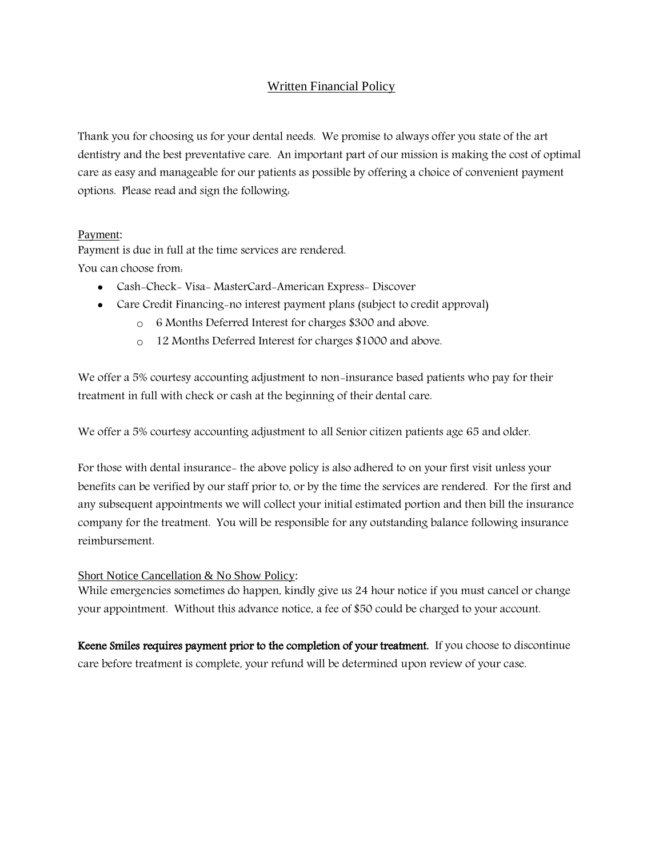# Written Financial Policy

Thank you for choosing us for your dental needs. We promise to always offer you state of the art dentistry and the best preventative care. An important part of our mission is making the cost of optimal care as easy and manageable for our patients as possible by offering a choice of convenient payment options. Please read and sign the following:

### Payment:

Payment is due in full at the time services are rendered. You can choose from:

- Cash-Check- Visa- MasterCard-American Express- Discover
- Care Credit Financing-no interest payment plans (subject to credit approval)
	- o 6 Months Deferred Interest for charges \$300 and above.
	- o 12 Months Deferred Interest for charges \$1000 and above.

We offer a 5% courtesy accounting adjustment to non-insurance based patients who pay for their treatment in full with check or cash at the beginning of their dental care.

We offer a 5% courtesy accounting adjustment to all Senior citizen patients age 65 and older.

For those with dental insurance- the above policy is also adhered to on your first visit unless your benefits can be verified by our staff prior to, or by the time the services are rendered. For the first and any subsequent appointments we will collect your initial estimated portion and then bill the insurance company for the treatment. You will be responsible for any outstanding balance following insurance reimbursement.

# Short Notice Cancellation & No Show Policy:

While emergencies sometimes do happen, kindly give us 24 hour notice if you must cancel or change your appointment. Without this advance notice, a fee of \$50 could be charged to your account.

Keene Smiles requires payment prior to the completion of your treatment. If you choose to discontinue care before treatment is complete, your refund will be determined upon review of your case.